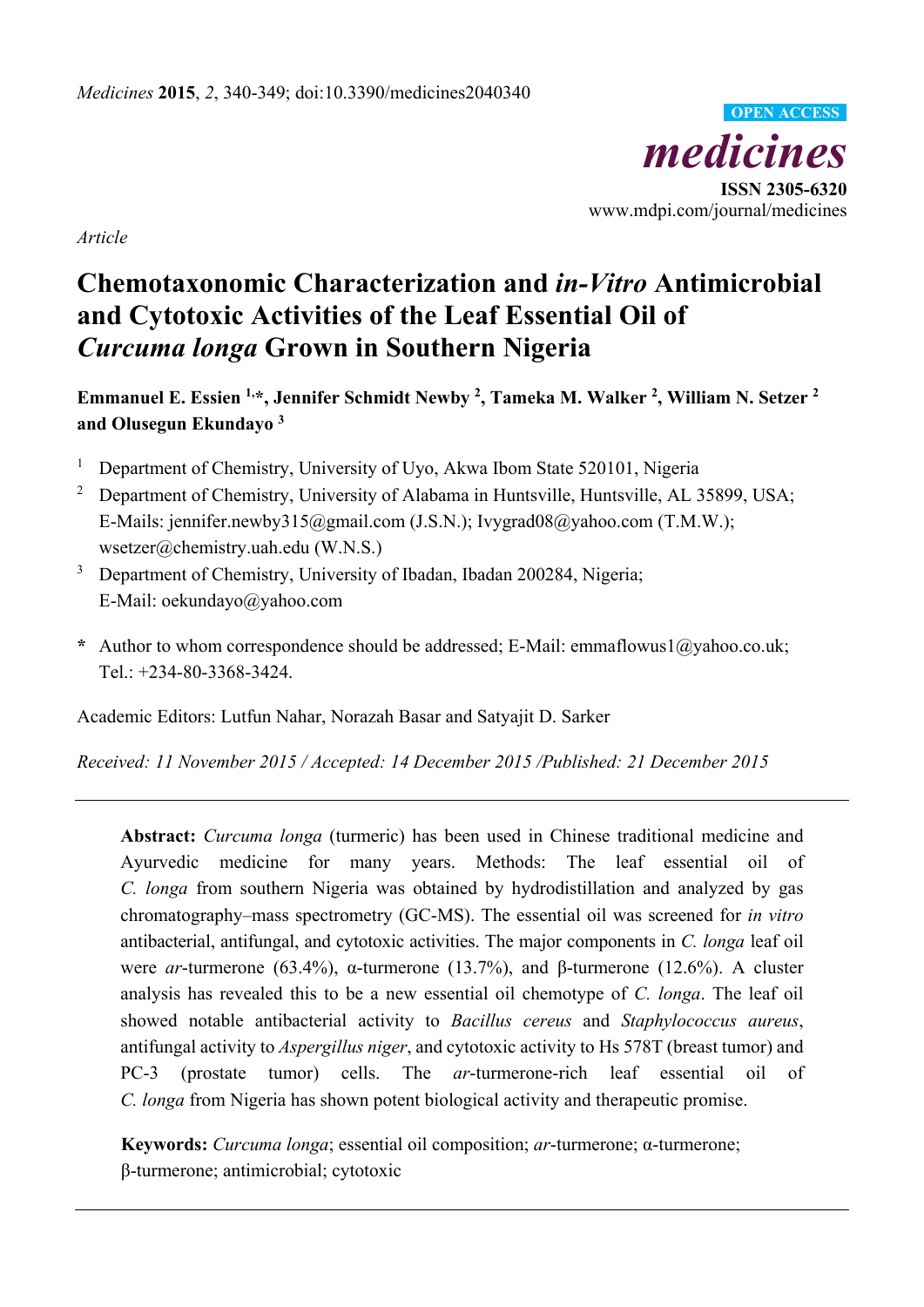

*Article* 

# **Chemotaxonomic Characterization and** *in-Vitro* **Antimicrobial and Cytotoxic Activities of the Leaf Essential Oil of**  *Curcuma longa* **Grown in Southern Nigeria**

**Emmanuel E. Essien 1,\*, Jennifer Schmidt Newby 2, Tameka M. Walker 2, William N. Setzer 2 and Olusegun Ekundayo 3**

- 1 Department of Chemistry, University of Uyo, Akwa Ibom State 520101, Nigeria
- <sup>2</sup> Department of Chemistry, University of Alabama in Huntsville, Huntsville, AL 35899, USA; E-Mails: jennifer.newby315@gmail.com (J.S.N.); Ivygrad08@yahoo.com (T.M.W.); wsetzer@chemistry.uah.edu (W.N.S.)
- 3 Department of Chemistry, University of Ibadan, Ibadan 200284, Nigeria; E-Mail: oekundayo@yahoo.com
- **\*** Author to whom correspondence should be addressed; E-Mail: emmaflowus1@yahoo.co.uk; Tel.: +234-80-3368-3424.

Academic Editors: Lutfun Nahar, Norazah Basar and Satyajit D. Sarker

*Received: 11 November 2015 / Accepted: 14 December 2015 /Published: 21 December 2015* 

**Abstract:** *Curcuma longa* (turmeric) has been used in Chinese traditional medicine and Ayurvedic medicine for many years. Methods: The leaf essential oil of *C. longa* from southern Nigeria was obtained by hydrodistillation and analyzed by gas chromatography–mass spectrometry (GC-MS). The essential oil was screened for *in vitro* antibacterial, antifungal, and cytotoxic activities. The major components in *C. longa* leaf oil were *ar*-turmerone (63.4%), α-turmerone (13.7%), and β-turmerone (12.6%). A cluster analysis has revealed this to be a new essential oil chemotype of *C. longa*. The leaf oil showed notable antibacterial activity to *Bacillus cereus* and *Staphylococcus aureus*, antifungal activity to *Aspergillus niger*, and cytotoxic activity to Hs 578T (breast tumor) and PC-3 (prostate tumor) cells. The *ar*-turmerone-rich leaf essential oil of *C. longa* from Nigeria has shown potent biological activity and therapeutic promise.

**Keywords:** *Curcuma longa*; essential oil composition; *ar*-turmerone; α-turmerone; β-turmerone; antimicrobial; cytotoxic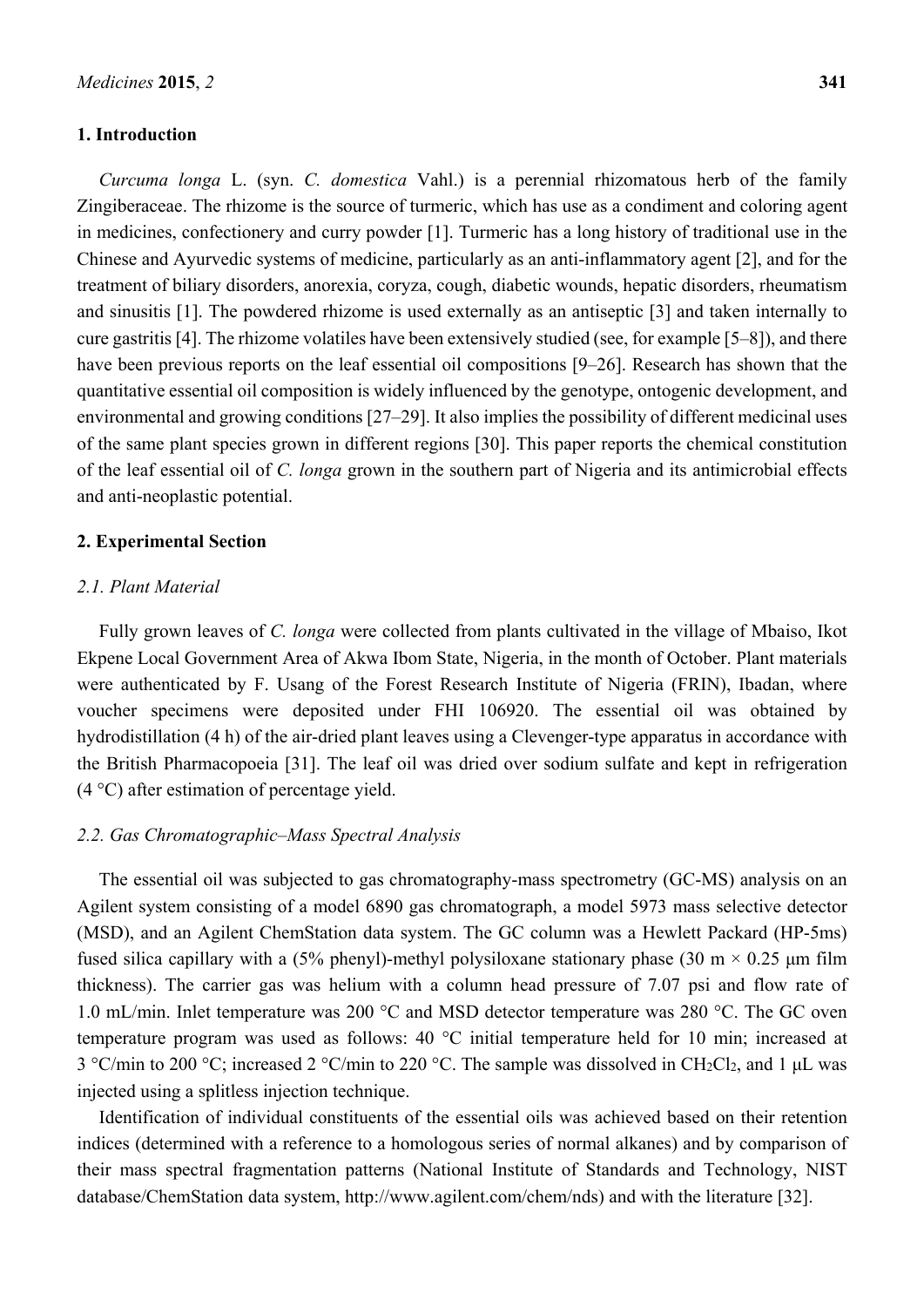#### **1. Introduction**

*Curcuma longa* L. (syn. *C. domestica* Vahl.) is a perennial rhizomatous herb of the family Zingiberaceae. The rhizome is the source of turmeric, which has use as a condiment and coloring agent in medicines, confectionery and curry powder [1]. Turmeric has a long history of traditional use in the Chinese and Ayurvedic systems of medicine, particularly as an anti-inflammatory agent [2], and for the treatment of biliary disorders, anorexia, coryza, cough, diabetic wounds, hepatic disorders, rheumatism and sinusitis [1]. The powdered rhizome is used externally as an antiseptic [3] and taken internally to cure gastritis [4]. The rhizome volatiles have been extensively studied (see, for example [5–8]), and there have been previous reports on the leaf essential oil compositions [9–26]. Research has shown that the quantitative essential oil composition is widely influenced by the genotype, ontogenic development, and environmental and growing conditions [27–29]. It also implies the possibility of different medicinal uses of the same plant species grown in different regions [30]. This paper reports the chemical constitution of the leaf essential oil of *C. longa* grown in the southern part of Nigeria and its antimicrobial effects and anti-neoplastic potential.

#### **2. Experimental Section**

### *2.1. Plant Material*

Fully grown leaves of *C. longa* were collected from plants cultivated in the village of Mbaiso, Ikot Ekpene Local Government Area of Akwa Ibom State, Nigeria, in the month of October. Plant materials were authenticated by F. Usang of the Forest Research Institute of Nigeria (FRIN), Ibadan, where voucher specimens were deposited under FHI 106920. The essential oil was obtained by hydrodistillation (4 h) of the air-dried plant leaves using a Clevenger-type apparatus in accordance with the British Pharmacopoeia [31]. The leaf oil was dried over sodium sulfate and kept in refrigeration (4 °C) after estimation of percentage yield.

### *2.2. Gas Chromatographic–Mass Spectral Analysis*

The essential oil was subjected to gas chromatography-mass spectrometry (GC-MS) analysis on an Agilent system consisting of a model 6890 gas chromatograph, a model 5973 mass selective detector (MSD), and an Agilent ChemStation data system. The GC column was a Hewlett Packard (HP-5ms) fused silica capillary with a (5% phenyl)-methyl polysiloxane stationary phase (30 m  $\times$  0.25 µm film thickness). The carrier gas was helium with a column head pressure of 7.07 psi and flow rate of 1.0 mL/min. Inlet temperature was 200 °C and MSD detector temperature was 280 °C. The GC oven temperature program was used as follows: 40 °C initial temperature held for 10 min; increased at 3 °C/min to 200 °C; increased 2 °C/min to 220 °C. The sample was dissolved in CH2Cl2, and 1 μL was injected using a splitless injection technique.

Identification of individual constituents of the essential oils was achieved based on their retention indices (determined with a reference to a homologous series of normal alkanes) and by comparison of their mass spectral fragmentation patterns (National Institute of Standards and Technology, NIST database/ChemStation data system, http://www.agilent.com/chem/nds) and with the literature [32].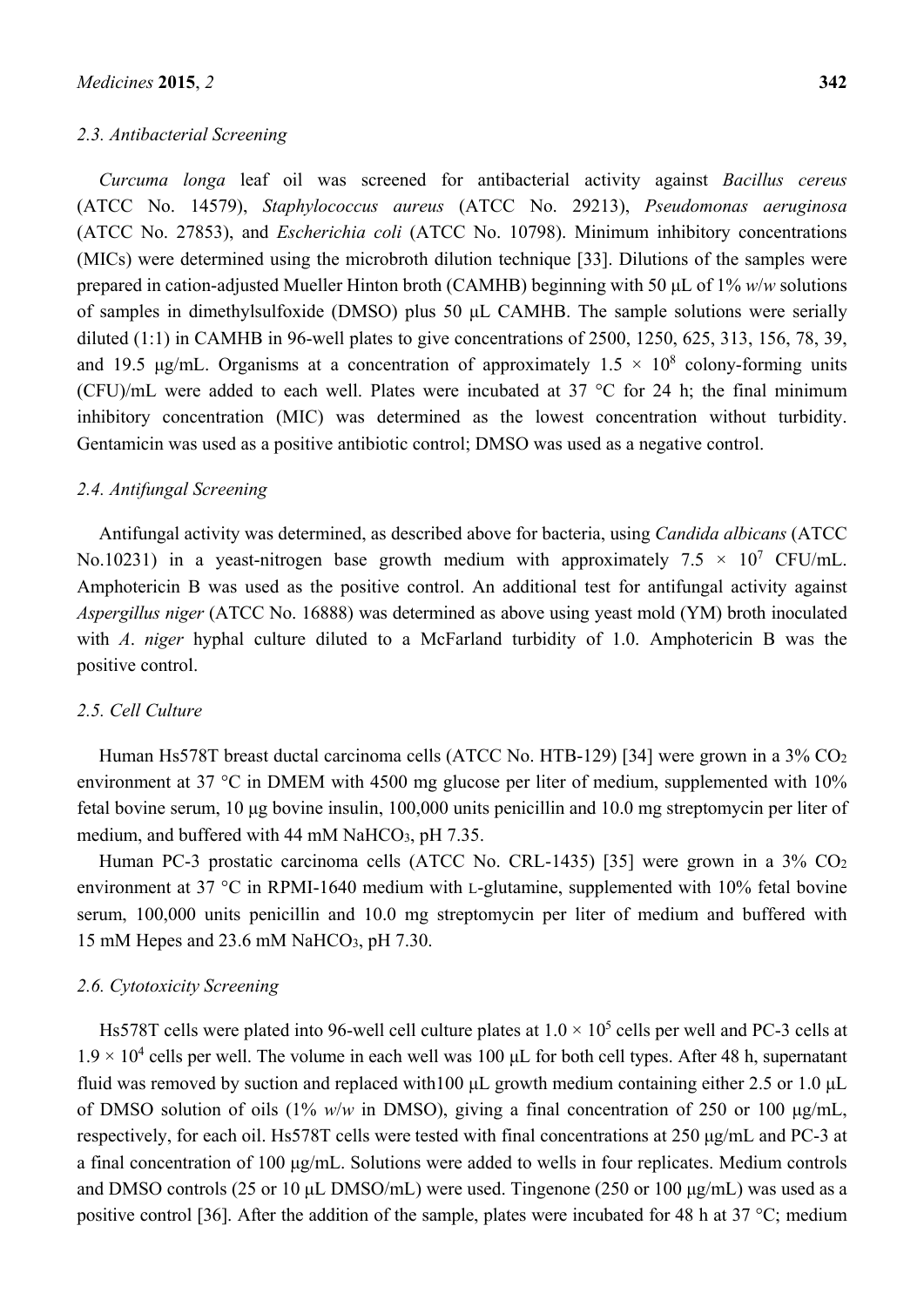#### *2.3. Antibacterial Screening*

*Curcuma longa* leaf oil was screened for antibacterial activity against *Bacillus cereus*  (ATCC No. 14579), *Staphylococcus aureus* (ATCC No. 29213), *Pseudomonas aeruginosa*  (ATCC No. 27853), and *Escherichia coli* (ATCC No. 10798). Minimum inhibitory concentrations (MICs) were determined using the microbroth dilution technique [33]. Dilutions of the samples were prepared in cation-adjusted Mueller Hinton broth (CAMHB) beginning with 50 μL of 1% *w*/*w* solutions of samples in dimethylsulfoxide (DMSO) plus 50 μL CAMHB. The sample solutions were serially diluted (1:1) in CAMHB in 96-well plates to give concentrations of 2500, 1250, 625, 313, 156, 78, 39, and 19.5  $\mu$ g/mL. Organisms at a concentration of approximately 1.5  $\times$  10<sup>8</sup> colony-forming units (CFU)/mL were added to each well. Plates were incubated at 37 °C for 24 h; the final minimum inhibitory concentration (MIC) was determined as the lowest concentration without turbidity. Gentamicin was used as a positive antibiotic control; DMSO was used as a negative control.

## *2.4. Antifungal Screening*

Antifungal activity was determined, as described above for bacteria, using *Candida albicans* (ATCC No.10231) in a yeast-nitrogen base growth medium with approximately  $7.5 \times 10^7$  CFU/mL. Amphotericin B was used as the positive control. An additional test for antifungal activity against *Aspergillus niger* (ATCC No. 16888) was determined as above using yeast mold (YM) broth inoculated with *A. niger* hyphal culture diluted to a McFarland turbidity of 1.0. Amphotericin B was the positive control.

### *2.5. Cell Culture*

Human Hs578T breast ductal carcinoma cells (ATCC No. HTB-129) [34] were grown in a 3% CO<sub>2</sub> environment at 37 °C in DMEM with 4500 mg glucose per liter of medium, supplemented with 10% fetal bovine serum, 10 μg bovine insulin, 100,000 units penicillin and 10.0 mg streptomycin per liter of medium, and buffered with 44 mM NaHCO<sub>3</sub>, pH  $7.35$ .

Human PC-3 prostatic carcinoma cells (ATCC No. CRL-1435) [35] were grown in a 3% CO<sub>2</sub> environment at 37 °C in RPMI-1640 medium with L-glutamine, supplemented with 10% fetal bovine serum, 100,000 units penicillin and 10.0 mg streptomycin per liter of medium and buffered with 15 mM Hepes and 23.6 mM NaHCO3, pH 7.30.

#### *2.6. Cytotoxicity Screening*

Hs578T cells were plated into 96-well cell culture plates at  $1.0 \times 10^5$  cells per well and PC-3 cells at  $1.9 \times 10^4$  cells per well. The volume in each well was 100 µL for both cell types. After 48 h, supernatant fluid was removed by suction and replaced with100 μL growth medium containing either 2.5 or 1.0 μL of DMSO solution of oils (1% *w*/*w* in DMSO), giving a final concentration of 250 or 100 μg/mL, respectively, for each oil. Hs578T cells were tested with final concentrations at 250 μg/mL and PC-3 at a final concentration of 100 μg/mL. Solutions were added to wells in four replicates. Medium controls and DMSO controls (25 or 10 μL DMSO/mL) were used. Tingenone (250 or 100 μg/mL) was used as a positive control [36]. After the addition of the sample, plates were incubated for 48 h at 37 °C; medium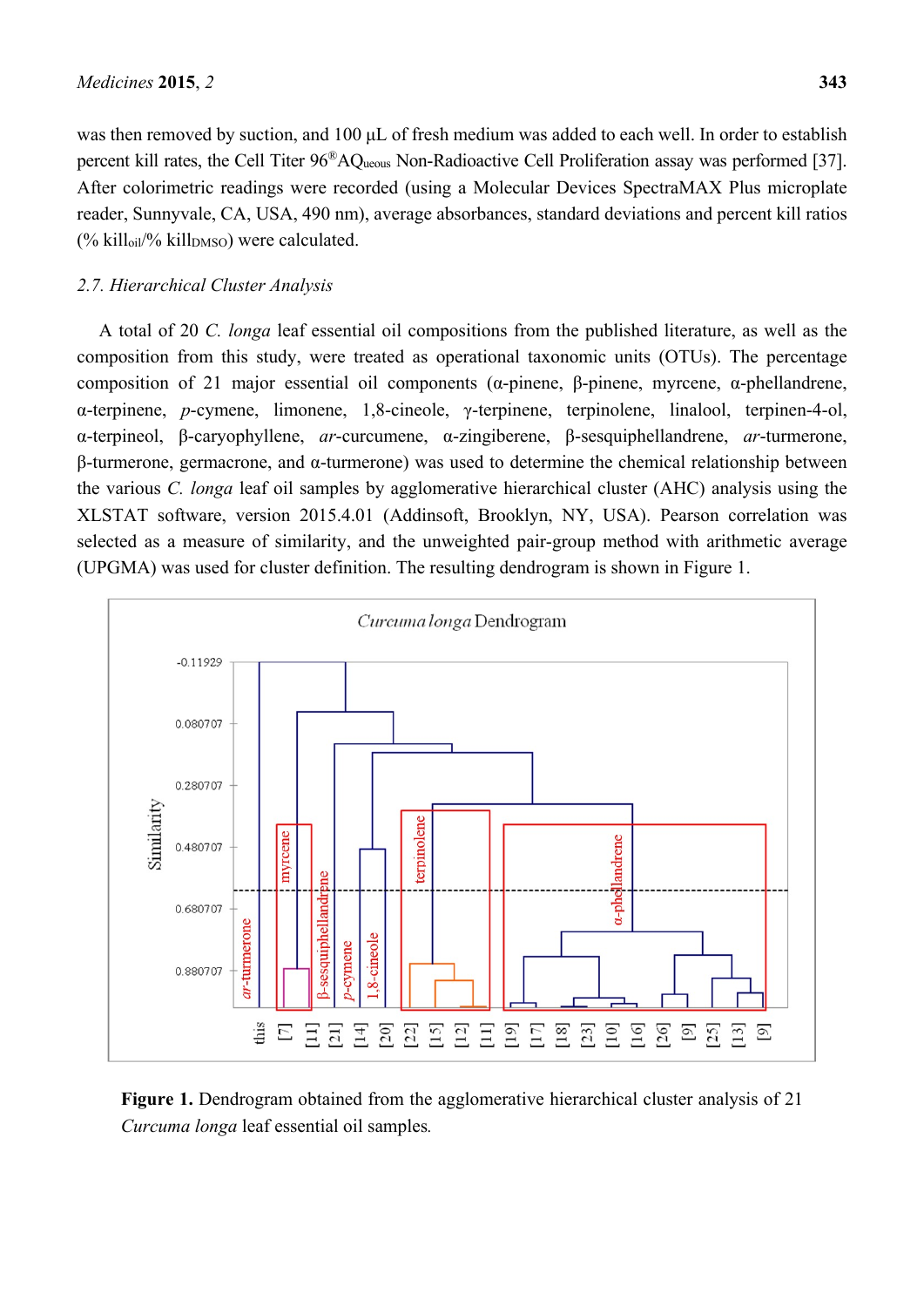was then removed by suction, and 100 μL of fresh medium was added to each well. In order to establish percent kill rates, the Cell Titer 96®AQueous Non-Radioactive Cell Proliferation assay was performed [37]. After colorimetric readings were recorded (using a Molecular Devices SpectraMAX Plus microplate reader, Sunnyvale, CA, USA, 490 nm), average absorbances, standard deviations and percent kill ratios  $(\%$  kill<sub>oil</sub> $\%$  kill<sub>DMSO</sub>) were calculated.

# *2.7. Hierarchical Cluster Analysis*

A total of 20 *C. longa* leaf essential oil compositions from the published literature, as well as the composition from this study, were treated as operational taxonomic units (OTUs). The percentage composition of 21 major essential oil components (α-pinene, β-pinene, myrcene, α-phellandrene, α-terpinene, *p*-cymene, limonene, 1,8-cineole, γ-terpinene, terpinolene, linalool, terpinen-4-ol, α-terpineol, β-caryophyllene, *ar*-curcumene, α-zingiberene, β-sesquiphellandrene, *ar*-turmerone, β-turmerone, germacrone, and α-turmerone) was used to determine the chemical relationship between the various *C. longa* leaf oil samples by agglomerative hierarchical cluster (AHC) analysis using the XLSTAT software, version 2015.4.01 (Addinsoft, Brooklyn, NY, USA). Pearson correlation was selected as a measure of similarity, and the unweighted pair-group method with arithmetic average (UPGMA) was used for cluster definition. The resulting dendrogram is shown in Figure 1.



**Figure 1.** Dendrogram obtained from the agglomerative hierarchical cluster analysis of 21 *Curcuma longa* leaf essential oil samples*.*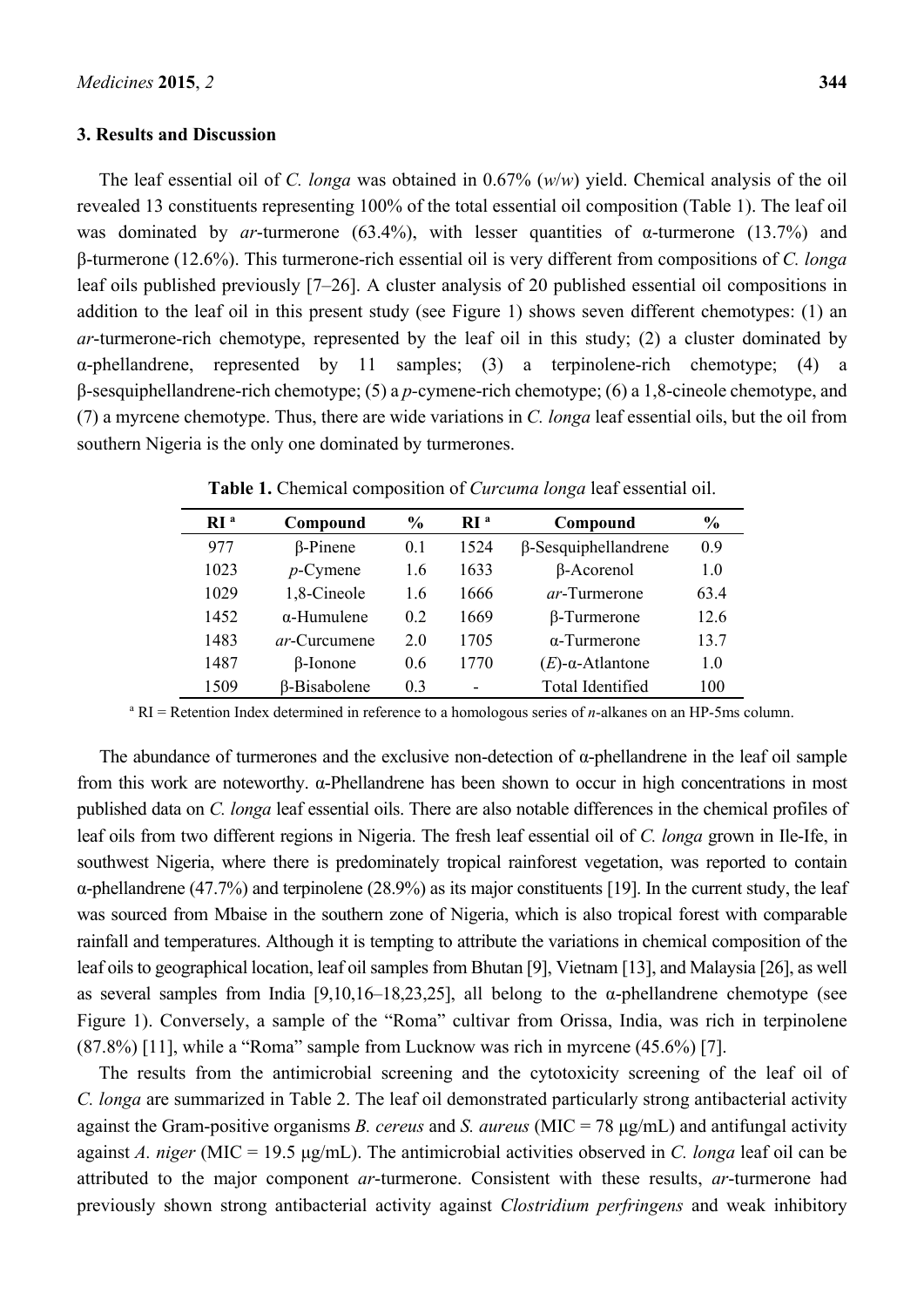#### **3. Results and Discussion**

The leaf essential oil of *C. longa* was obtained in 0.67% (*w*/*w*) yield. Chemical analysis of the oil revealed 13 constituents representing 100% of the total essential oil composition (Table 1). The leaf oil was dominated by *ar*-turmerone (63.4%), with lesser quantities of α-turmerone (13.7%) and β-turmerone (12.6%). This turmerone-rich essential oil is very different from compositions of *C. longa* leaf oils published previously [7–26]. A cluster analysis of 20 published essential oil compositions in addition to the leaf oil in this present study (see Figure 1) shows seven different chemotypes: (1) an *ar*-turmerone-rich chemotype, represented by the leaf oil in this study; (2) a cluster dominated by α-phellandrene, represented by 11 samples; (3) a terpinolene-rich chemotype; (4) a β-sesquiphellandrene-rich chemotype; (5) a *p-*cymene-rich chemotype; (6) a 1,8-cineole chemotype, and (7) a myrcene chemotype. Thus, there are wide variations in *C. longa* leaf essential oils, but the oil from southern Nigeria is the only one dominated by turmerones.

| $\mathbf{R}$ <sup>a</sup> | Compound             | $\frac{6}{9}$  | $\mathbf{R}$ <sup>a</sup> | Compound                    | $\frac{6}{9}$  |
|---------------------------|----------------------|----------------|---------------------------|-----------------------------|----------------|
| 977                       | $\beta$ -Pinene      | 0.1            | 1524                      | $\beta$ -Sesquiphellandrene | 09             |
| 1023                      | $p$ -Cymene          | 1.6            | 1633                      | $\beta$ -Acorenol           | 1.0            |
| 1029                      | 1,8-Cineole          | 1.6            | 1666                      | <i>ar</i> -Turmerone        | 63.4           |
| 1452                      | $\alpha$ -Humulene   | 0 <sub>2</sub> | 1669                      | $\beta$ -Turmerone          | 12.6           |
| 1483                      | <i>ar</i> -Curcumene | 2 O            | 1705                      | $\alpha$ -Turmerone         | 13.7           |
| 1487                      | $\beta$ -Ionone      | 0.6            | 1770                      | $(E)$ - $\alpha$ -Atlantone | 1 <sub>0</sub> |
| 1509                      | <b>B-Bisabolene</b>  | 0 <sub>3</sub> | -                         | <b>Total Identified</b>     | 100            |

**Table 1.** Chemical composition of *Curcuma longa* leaf essential oil.

a RI = Retention Index determined in reference to a homologous series of *n*-alkanes on an HP-5ms column.

The abundance of turmerones and the exclusive non-detection of α-phellandrene in the leaf oil sample from this work are noteworthy. α-Phellandrene has been shown to occur in high concentrations in most published data on *C. longa* leaf essential oils. There are also notable differences in the chemical profiles of leaf oils from two different regions in Nigeria. The fresh leaf essential oil of *C. longa* grown in Ile-Ife, in southwest Nigeria, where there is predominately tropical rainforest vegetation, was reported to contain α-phellandrene (47.7%) and terpinolene (28.9%) as its major constituents [19]. In the current study, the leaf was sourced from Mbaise in the southern zone of Nigeria, which is also tropical forest with comparable rainfall and temperatures. Although it is tempting to attribute the variations in chemical composition of the leaf oils to geographical location, leaf oil samples from Bhutan [9], Vietnam [13], and Malaysia [26], as well as several samples from India [9,10,16–18,23,25], all belong to the α-phellandrene chemotype (see Figure 1). Conversely, a sample of the "Roma" cultivar from Orissa, India, was rich in terpinolene (87.8%) [11], while a "Roma" sample from Lucknow was rich in myrcene (45.6%) [7].

The results from the antimicrobial screening and the cytotoxicity screening of the leaf oil of *C. longa* are summarized in Table 2. The leaf oil demonstrated particularly strong antibacterial activity against the Gram-positive organisms *B. cereus* and *S. aureus* (MIC = 78 μg/mL) and antifungal activity against *A. niger* (MIC = 19.5 μg/mL). The antimicrobial activities observed in *C. longa* leaf oil can be attributed to the major component *ar*-turmerone. Consistent with these results, *ar*-turmerone had previously shown strong antibacterial activity against *Clostridium perfringens* and weak inhibitory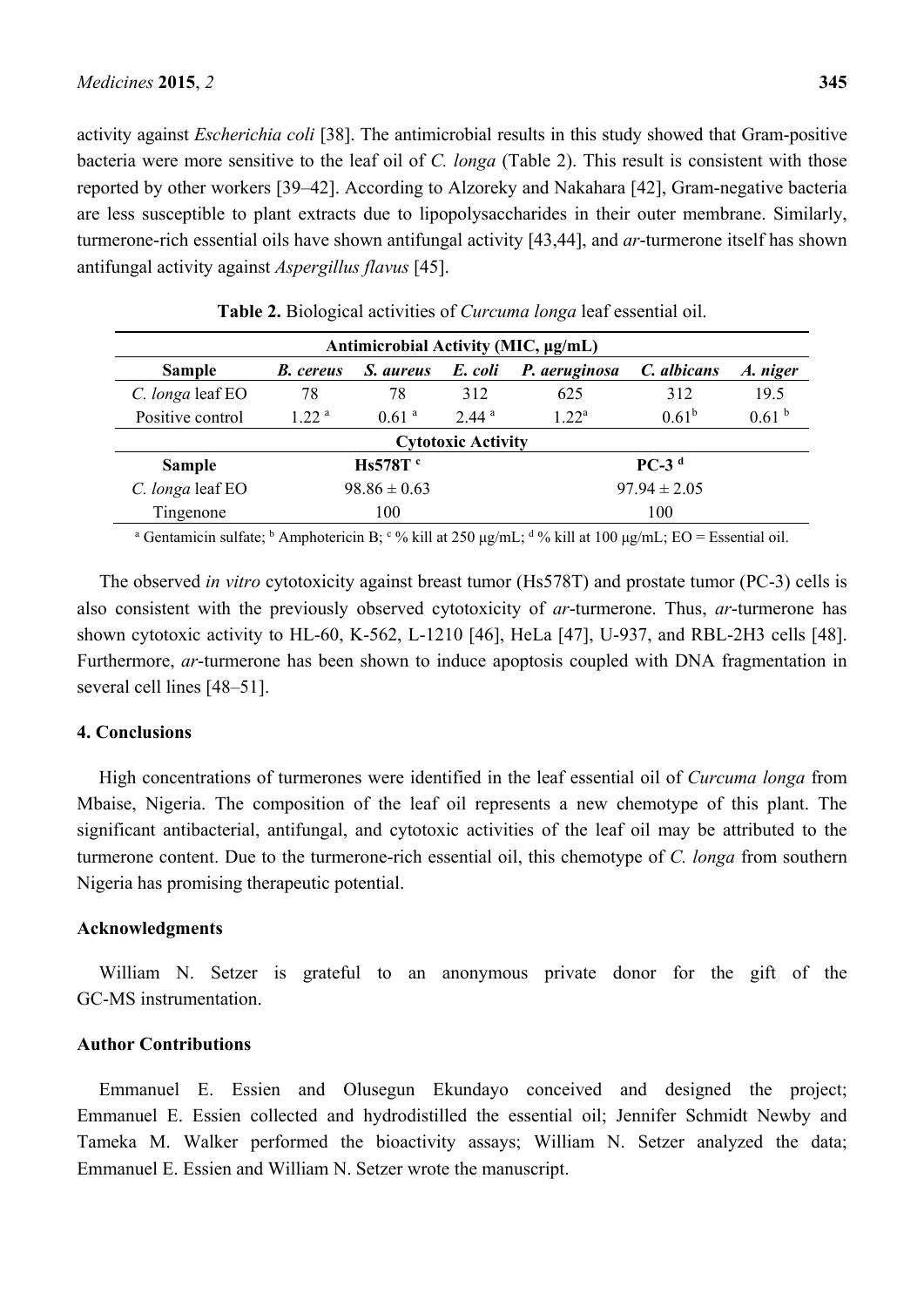activity against *Escherichia coli* [38]. The antimicrobial results in this study showed that Gram-positive bacteria were more sensitive to the leaf oil of *C. longa* (Table 2). This result is consistent with those reported by other workers [39–42]. According to Alzoreky and Nakahara [42], Gram-negative bacteria are less susceptible to plant extracts due to lipopolysaccharides in their outer membrane. Similarly, turmerone-rich essential oils have shown antifungal activity [43,44], and *ar*-turmerone itself has shown antifungal activity against *Aspergillus flavus* [45].

| Antimicrobial Activity (MIC, μg/mL) |                     |                   |                   |                  |             |                   |  |  |  |  |
|-------------------------------------|---------------------|-------------------|-------------------|------------------|-------------|-------------------|--|--|--|--|
| <b>Sample</b>                       | <b>B.</b> cereus    | S. aureus         | E. coli           | P. aeruginosa    | C. albicans | A. niger          |  |  |  |  |
| C. longa leaf EO                    | 78                  | 78                | 312               | 625              | 312         | 19.5              |  |  |  |  |
| Positive control                    | 122 <sup>a</sup>    | 0.61 <sup>a</sup> | 2.44 <sup>a</sup> | $122^a$          | $0.61^{b}$  | 0.61 <sup>b</sup> |  |  |  |  |
| <b>Cytotoxic Activity</b>           |                     |                   |                   |                  |             |                   |  |  |  |  |
| <b>Sample</b>                       | Hs578T <sup>c</sup> |                   | $PC-3d$           |                  |             |                   |  |  |  |  |
| C. longa leaf EO                    | $98.86 \pm 0.63$    |                   |                   | $97.94 \pm 2.05$ |             |                   |  |  |  |  |
| Tingenone<br>100                    |                     | 100               |                   |                  |             |                   |  |  |  |  |

**Table 2.** Biological activities of *Curcuma longa* leaf essential oil.

<sup>a</sup> Gentamicin sulfate; <sup>b</sup> Amphotericin B; <sup>c</sup> % kill at 250 μg/mL; <sup>d</sup> % kill at 100 μg/mL; EO = Essential oil.

The observed *in vitro* cytotoxicity against breast tumor (Hs578T) and prostate tumor (PC-3) cells is also consistent with the previously observed cytotoxicity of *ar*-turmerone. Thus, *ar*-turmerone has shown cytotoxic activity to HL-60, K-562, L-1210 [46], HeLa [47], U-937, and RBL-2H3 cells [48]. Furthermore, *ar*-turmerone has been shown to induce apoptosis coupled with DNA fragmentation in several cell lines [48–51].

## **4. Conclusions**

High concentrations of turmerones were identified in the leaf essential oil of *Curcuma longa* from Mbaise, Nigeria. The composition of the leaf oil represents a new chemotype of this plant. The significant antibacterial, antifungal, and cytotoxic activities of the leaf oil may be attributed to the turmerone content. Due to the turmerone-rich essential oil, this chemotype of *C. longa* from southern Nigeria has promising therapeutic potential.

#### **Acknowledgments**

William N. Setzer is grateful to an anonymous private donor for the gift of the GC-MS instrumentation.

## **Author Contributions**

Emmanuel E. Essien and Olusegun Ekundayo conceived and designed the project; Emmanuel E. Essien collected and hydrodistilled the essential oil; Jennifer Schmidt Newby and Tameka M. Walker performed the bioactivity assays; William N. Setzer analyzed the data; Emmanuel E. Essien and William N. Setzer wrote the manuscript.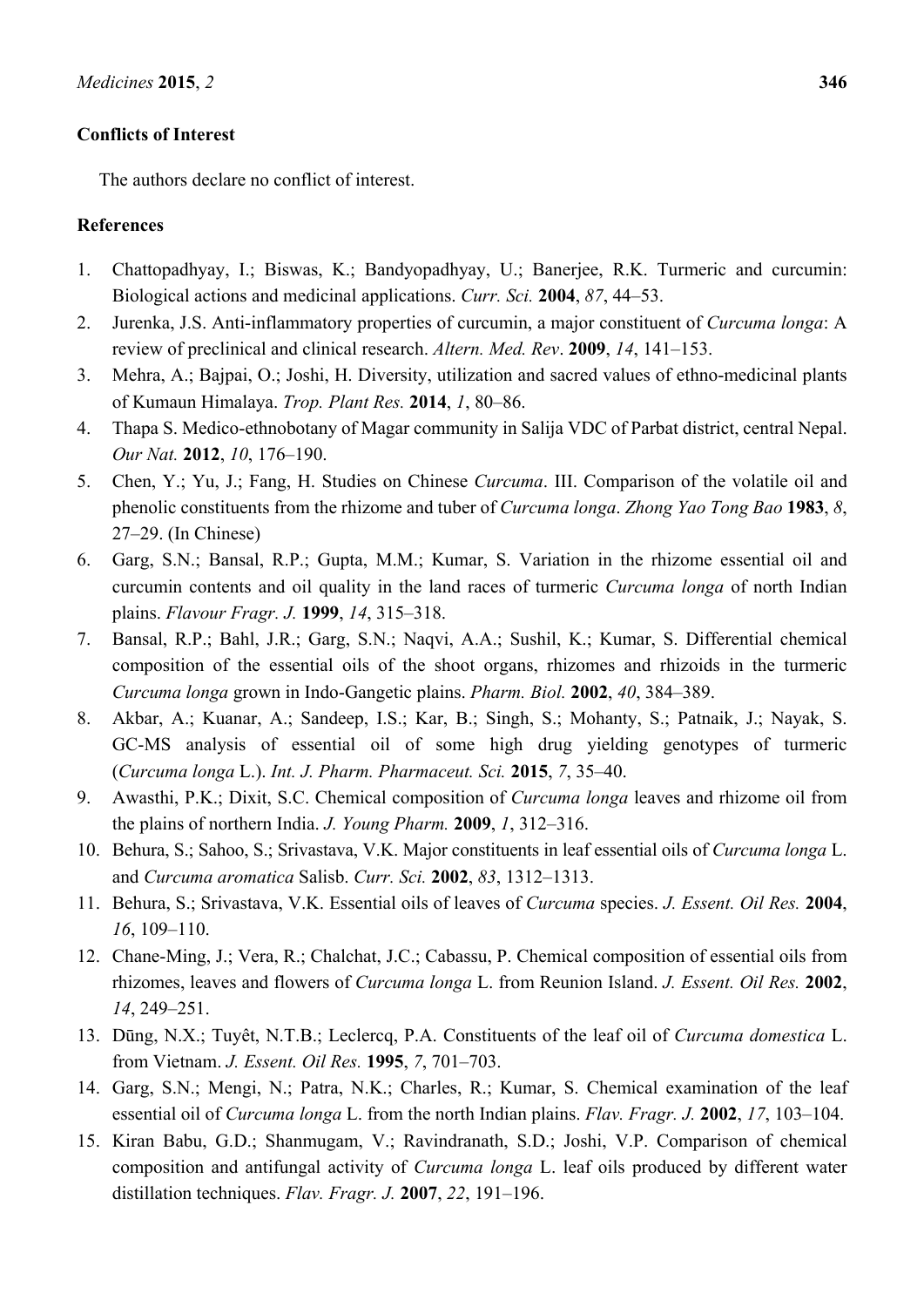# **Conflicts of Interest**

The authors declare no conflict of interest.

# **References**

- 1. Chattopadhyay, I.; Biswas, K.; Bandyopadhyay, U.; Banerjee, R.K. Turmeric and curcumin: Biological actions and medicinal applications. *Curr. Sci.* **2004**, *87*, 44–53.
- 2. Jurenka, J.S. Anti-inflammatory properties of curcumin, a major constituent of *Curcuma longa*: A review of preclinical and clinical research. *Altern. Med. Rev*. **2009**, *14*, 141–153.
- 3. Mehra, A.; Bajpai, O.; Joshi, H. Diversity, utilization and sacred values of ethno-medicinal plants of Kumaun Himalaya. *Trop. Plant Res.* **2014**, *1*, 80–86.
- 4. Thapa S. Medico-ethnobotany of Magar community in Salija VDC of Parbat district, central Nepal. *Our Nat.* **2012**, *10*, 176–190.
- 5. Chen, Y.; Yu, J.; Fang, H. Studies on Chinese *Curcuma*. III. Comparison of the volatile oil and phenolic constituents from the rhizome and tuber of *Curcuma longa*. *Zhong Yao Tong Bao* **1983**, *8*, 27–29. (In Chinese)
- 6. Garg, S.N.; Bansal, R.P.; Gupta, M.M.; Kumar, S. Variation in the rhizome essential oil and curcumin contents and oil quality in the land races of turmeric *Curcuma longa* of north Indian plains. *Flavour Fragr. J.* **1999**, *14*, 315–318.
- 7. Bansal, R.P.; Bahl, J.R.; Garg, S.N.; Naqvi, A.A.; Sushil, K.; Kumar, S. Differential chemical composition of the essential oils of the shoot organs, rhizomes and rhizoids in the turmeric *Curcuma longa* grown in Indo-Gangetic plains. *Pharm. Biol.* **2002**, *40*, 384–389.
- 8. Akbar, A.; Kuanar, A.; Sandeep, I.S.; Kar, B.; Singh, S.; Mohanty, S.; Patnaik, J.; Nayak, S. GC-MS analysis of essential oil of some high drug yielding genotypes of turmeric (*Curcuma longa* L.). *Int. J. Pharm. Pharmaceut. Sci.* **2015**, *7*, 35–40.
- 9. Awasthi, P.K.; Dixit, S.C. Chemical composition of *Curcuma longa* leaves and rhizome oil from the plains of northern India. *J. Young Pharm.* **2009**, *1*, 312–316.
- 10. Behura, S.; Sahoo, S.; Srivastava, V.K. Major constituents in leaf essential oils of *Curcuma longa* L. and *Curcuma aromatica* Salisb. *Curr. Sci.* **2002**, *83*, 1312–1313.
- 11. Behura, S.; Srivastava, V.K. Essential oils of leaves of *Curcuma* species. *J. Essent. Oil Res.* **2004**, *16*, 109–110.
- 12. Chane-Ming, J.; Vera, R.; Chalchat, J.C.; Cabassu, P. Chemical composition of essential oils from rhizomes, leaves and flowers of *Curcuma longa* L. from Reunion Island. *J. Essent. Oil Res.* **2002**, *14*, 249–251.
- 13. Dūng, N.X.; Tuyêt, N.T.B.; Leclercq, P.A. Constituents of the leaf oil of *Curcuma domestica* L. from Vietnam. *J. Essent. Oil Res.* **1995**, *7*, 701–703.
- 14. Garg, S.N.; Mengi, N.; Patra, N.K.; Charles, R.; Kumar, S. Chemical examination of the leaf essential oil of *Curcuma longa* L. from the north Indian plains. *Flav. Fragr. J.* **2002**, *17*, 103–104.
- 15. Kiran Babu, G.D.; Shanmugam, V.; Ravindranath, S.D.; Joshi, V.P. Comparison of chemical composition and antifungal activity of *Curcuma longa* L. leaf oils produced by different water distillation techniques. *Flav. Fragr. J.* **2007**, *22*, 191–196.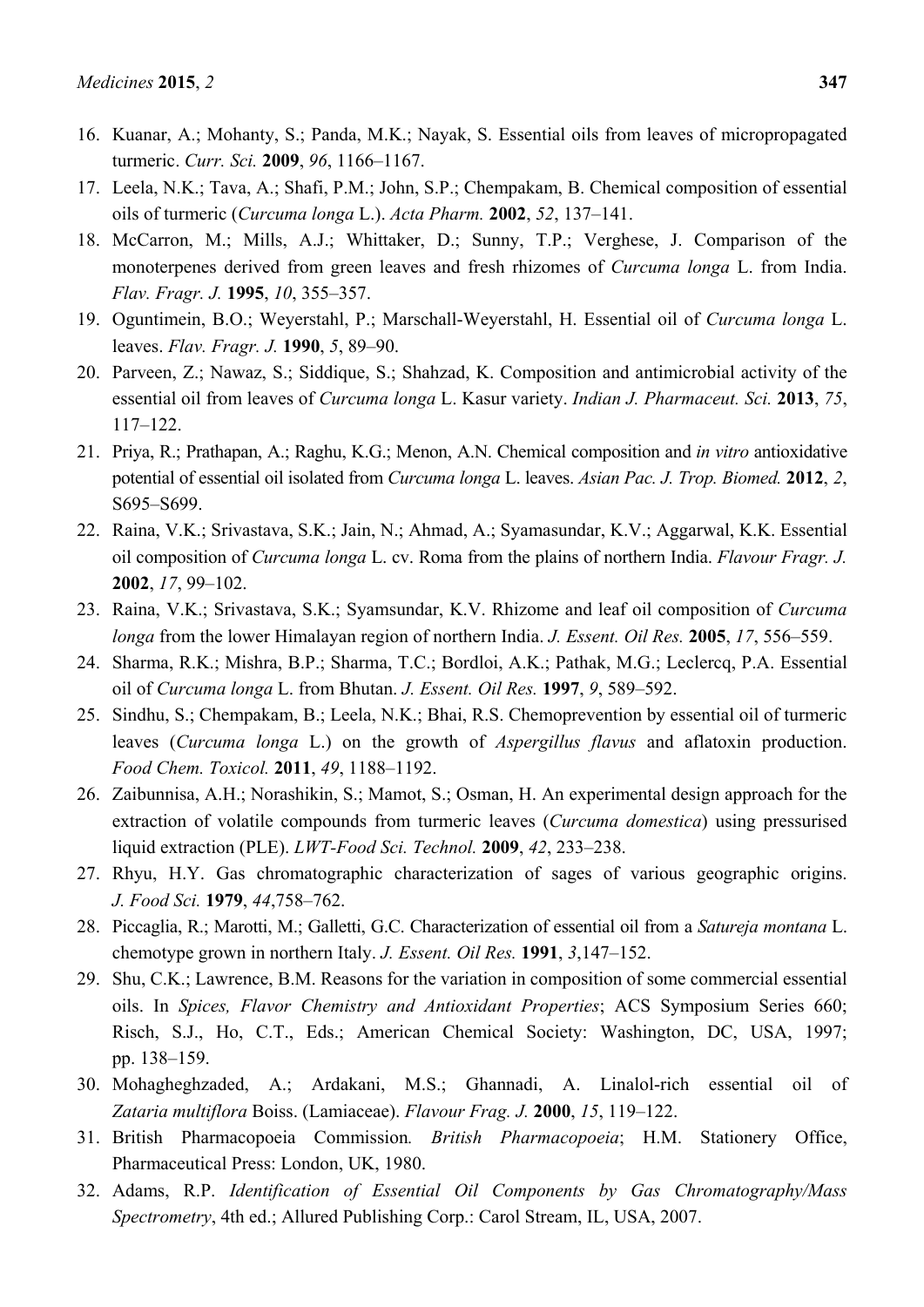- 16. Kuanar, A.; Mohanty, S.; Panda, M.K.; Nayak, S. Essential oils from leaves of micropropagated turmeric. *Curr. Sci.* **2009**, *96*, 1166–1167.
- 17. Leela, N.K.; Tava, A.; Shafi, P.M.; John, S.P.; Chempakam, B. Chemical composition of essential oils of turmeric (*Curcuma longa* L.). *Acta Pharm.* **2002**, *52*, 137–141.
- 18. McCarron, M.; Mills, A.J.; Whittaker, D.; Sunny, T.P.; Verghese, J. Comparison of the monoterpenes derived from green leaves and fresh rhizomes of *Curcuma longa* L. from India. *Flav. Fragr. J.* **1995**, *10*, 355–357.
- 19. Oguntimein, B.O.; Weyerstahl, P.; Marschall-Weyerstahl, H. Essential oil of *Curcuma longa* L. leaves. *Flav. Fragr. J.* **1990**, *5*, 89–90.
- 20. Parveen, Z.; Nawaz, S.; Siddique, S.; Shahzad, K. Composition and antimicrobial activity of the essential oil from leaves of *Curcuma longa* L. Kasur variety. *Indian J. Pharmaceut. Sci.* **2013**, *75*, 117–122.
- 21. Priya, R.; Prathapan, A.; Raghu, K.G.; Menon, A.N. Chemical composition and *in vitro* antioxidative potential of essential oil isolated from *Curcuma longa* L. leaves. *Asian Pac. J. Trop. Biomed.* **2012**, *2*, S695–S699.
- 22. Raina, V.K.; Srivastava, S.K.; Jain, N.; Ahmad, A.; Syamasundar, K.V.; Aggarwal, K.K. Essential oil composition of *Curcuma longa* L. cv. Roma from the plains of northern India. *Flavour Fragr. J.* **2002**, *17*, 99–102.
- 23. Raina, V.K.; Srivastava, S.K.; Syamsundar, K.V. Rhizome and leaf oil composition of *Curcuma longa* from the lower Himalayan region of northern India. *J. Essent. Oil Res.* **2005**, *17*, 556–559.
- 24. Sharma, R.K.; Mishra, B.P.; Sharma, T.C.; Bordloi, A.K.; Pathak, M.G.; Leclercq, P.A. Essential oil of *Curcuma longa* L. from Bhutan. *J. Essent. Oil Res.* **1997**, *9*, 589–592.
- 25. Sindhu, S.; Chempakam, B.; Leela, N.K.; Bhai, R.S. Chemoprevention by essential oil of turmeric leaves (*Curcuma longa* L.) on the growth of *Aspergillus flavus* and aflatoxin production. *Food Chem. Toxicol.* **2011**, *49*, 1188–1192.
- 26. Zaibunnisa, A.H.; Norashikin, S.; Mamot, S.; Osman, H. An experimental design approach for the extraction of volatile compounds from turmeric leaves (*Curcuma domestica*) using pressurised liquid extraction (PLE). *LWT-Food Sci. Technol.* **2009**, *42*, 233–238.
- 27. Rhyu, H.Y. Gas chromatographic characterization of sages of various geographic origins. *J. Food Sci.* **1979**, *44*,758–762.
- 28. Piccaglia, R.; Marotti, M.; Galletti, G.C. Characterization of essential oil from a *Satureja montana* L. chemotype grown in northern Italy. *J. Essent. Oil Res.* **1991**, *3*,147–152.
- 29. Shu, C.K.; Lawrence, B.M. Reasons for the variation in composition of some commercial essential oils. In *Spices, Flavor Chemistry and Antioxidant Properties*; ACS Symposium Series 660; Risch, S.J., Ho, C.T., Eds.; American Chemical Society: Washington, DC, USA, 1997; pp. 138–159.
- 30. Mohagheghzaded, A.; Ardakani, M.S.; Ghannadi, A. Linalol-rich essential oil of *Zataria multiflora* Boiss. (Lamiaceae). *Flavour Frag. J.* **2000**, *15*, 119–122.
- 31. British Pharmacopoeia Commission*. British Pharmacopoeia*; H.M. Stationery Office, Pharmaceutical Press: London, UK, 1980.
- 32. Adams, R.P. *Identification of Essential Oil Components by Gas Chromatography/Mass Spectrometry*, 4th ed.; Allured Publishing Corp.: Carol Stream, IL, USA, 2007.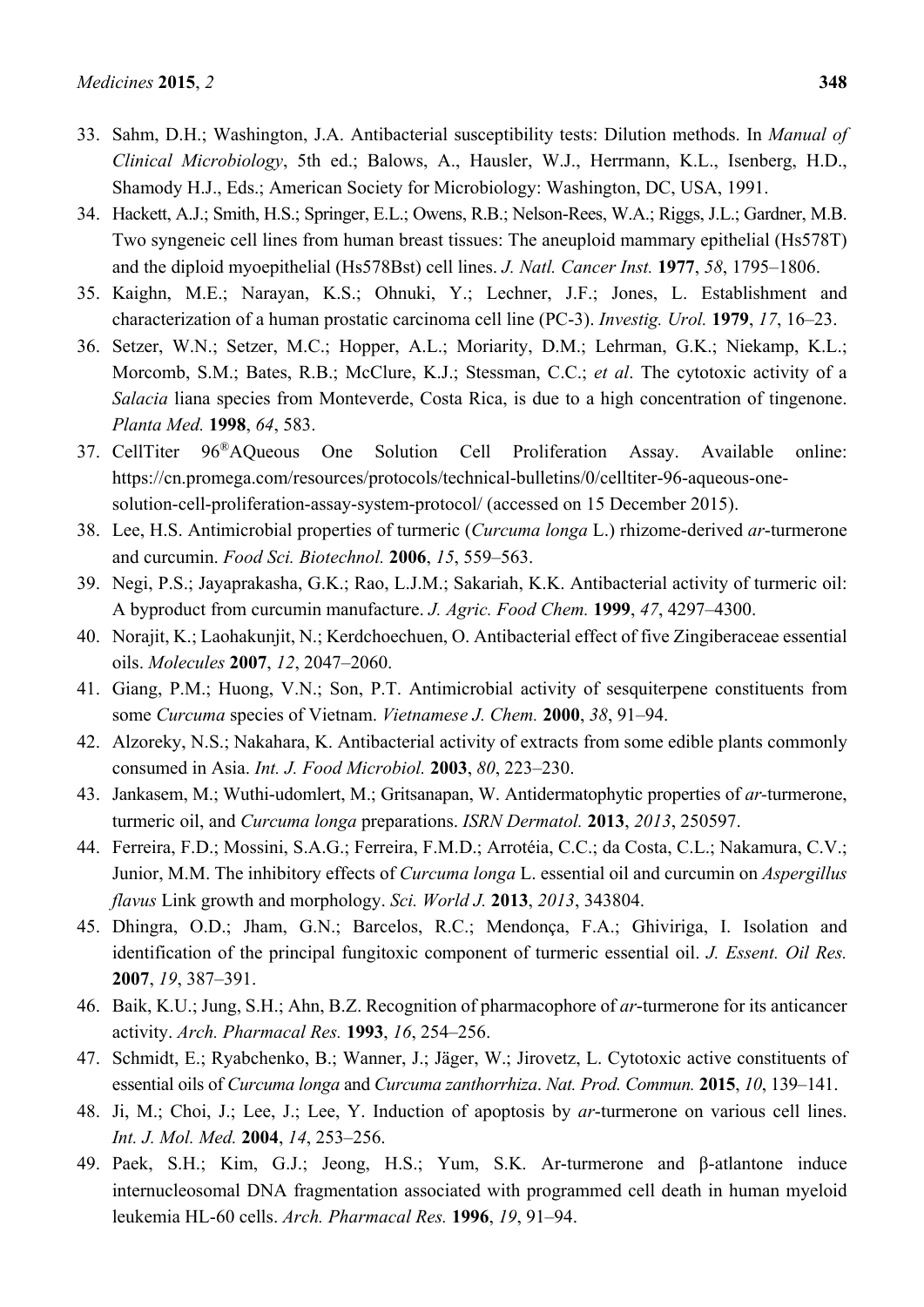- 34. Hackett, A.J.; Smith, H.S.; Springer, E.L.; Owens, R.B.; Nelson-Rees, W.A.; Riggs, J.L.; Gardner, M.B. Two syngeneic cell lines from human breast tissues: The aneuploid mammary epithelial (Hs578T) and the diploid myoepithelial (Hs578Bst) cell lines. *J. Natl. Cancer Inst.* **1977**, *58*, 1795–1806.
- 35. Kaighn, M.E.; Narayan, K.S.; Ohnuki, Y.; Lechner, J.F.; Jones, L. Establishment and characterization of a human prostatic carcinoma cell line (PC-3). *Investig. Urol.* **1979**, *17*, 16–23.
- 36. Setzer, W.N.; Setzer, M.C.; Hopper, A.L.; Moriarity, D.M.; Lehrman, G.K.; Niekamp, K.L.; Morcomb, S.M.; Bates, R.B.; McClure, K.J.; Stessman, C.C.; *et al*. The cytotoxic activity of a *Salacia* liana species from Monteverde, Costa Rica, is due to a high concentration of tingenone. *Planta Med.* **1998**, *64*, 583.
- 37. CellTiter 96®AQueous One Solution Cell Proliferation Assay. Available online: https://cn.promega.com/resources/protocols/technical-bulletins/0/celltiter-96-aqueous-onesolution-cell-proliferation-assay-system-protocol/ (accessed on 15 December 2015).
- 38. Lee, H.S. Antimicrobial properties of turmeric (*Curcuma longa* L.) rhizome-derived *ar*-turmerone and curcumin. *Food Sci. Biotechnol.* **2006**, *15*, 559–563.
- 39. Negi, P.S.; Jayaprakasha, G.K.; Rao, L.J.M.; Sakariah, K.K. Antibacterial activity of turmeric oil: A byproduct from curcumin manufacture. *J. Agric. Food Chem.* **1999**, *47*, 4297–4300.
- 40. Norajit, K.; Laohakunjit, N.; Kerdchoechuen, O. Antibacterial effect of five Zingiberaceae essential oils. *Molecules* **2007**, *12*, 2047–2060.
- 41. Giang, P.M.; Huong, V.N.; Son, P.T. Antimicrobial activity of sesquiterpene constituents from some *Curcuma* species of Vietnam. *Vietnamese J. Chem.* **2000**, *38*, 91–94.
- 42. Alzoreky, N.S.; Nakahara, K. Antibacterial activity of extracts from some edible plants commonly consumed in Asia. *Int. J. Food Microbiol.* **2003**, *80*, 223–230.
- 43. Jankasem, M.; Wuthi-udomlert, M.; Gritsanapan, W. Antidermatophytic properties of *ar-*turmerone, turmeric oil, and *Curcuma longa* preparations. *ISRN Dermatol.* **2013**, *2013*, 250597.
- 44. Ferreira, F.D.; Mossini, S.A.G.; Ferreira, F.M.D.; Arrotéia, C.C.; da Costa, C.L.; Nakamura, C.V.; Junior, M.M. The inhibitory effects of *Curcuma longa* L. essential oil and curcumin on *Aspergillus flavus* Link growth and morphology. *Sci. World J.* **2013**, *2013*, 343804.
- 45. Dhingra, O.D.; Jham, G.N.; Barcelos, R.C.; Mendonça, F.A.; Ghiviriga, I. Isolation and identification of the principal fungitoxic component of turmeric essential oil. *J. Essent. Oil Res.* **2007**, *19*, 387–391.
- 46. Baik, K.U.; Jung, S.H.; Ahn, B.Z. Recognition of pharmacophore of *ar*-turmerone for its anticancer activity. *Arch. Pharmacal Res.* **1993**, *16*, 254–256.
- 47. Schmidt, E.; Ryabchenko, B.; Wanner, J.; Jäger, W.; Jirovetz, L. Cytotoxic active constituents of essential oils of *Curcuma longa* and *Curcuma zanthorrhiza*. *Nat. Prod. Commun.* **2015**, *10*, 139–141.
- 48. Ji, M.; Choi, J.; Lee, J.; Lee, Y. Induction of apoptosis by *ar*-turmerone on various cell lines. *Int. J. Mol. Med.* **2004**, *14*, 253–256.
- 49. Paek, S.H.; Kim, G.J.; Jeong, H.S.; Yum, S.K. Ar-turmerone and β-atlantone induce internucleosomal DNA fragmentation associated with programmed cell death in human myeloid leukemia HL-60 cells. *Arch. Pharmacal Res.* **1996**, *19*, 91–94.